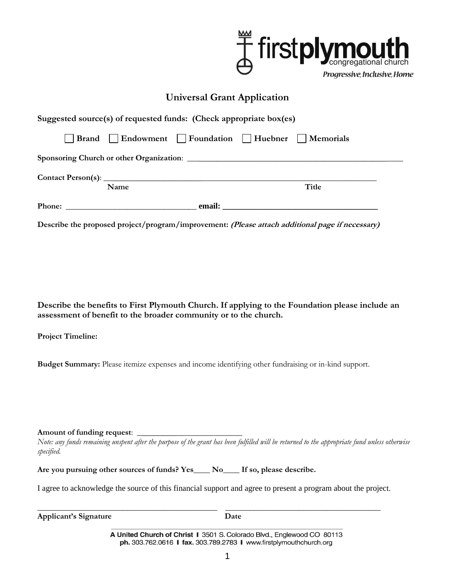

## **Universal Grant Application**

|                                                                                          | Suggested source(s) of requested funds: (Check appropriate box(es) |  |                                                             |  |  |
|------------------------------------------------------------------------------------------|--------------------------------------------------------------------|--|-------------------------------------------------------------|--|--|
|                                                                                          |                                                                    |  | <b>Brand</b>   Endowment   Foundation   Huebner   Memorials |  |  |
| <b>Sponsoring Church or other Organization: Sponsoring Church or other Organization:</b> |                                                                    |  |                                                             |  |  |
|                                                                                          |                                                                    |  |                                                             |  |  |
|                                                                                          | Name                                                               |  | Title                                                       |  |  |
|                                                                                          |                                                                    |  |                                                             |  |  |

**Describe the proposed project/program/improvement: (Please attach additional page if necessary)**

**Describe the benefits to First Plymouth Church. If applying to the Foundation please include an assessment of benefit to the broader community or to the church.**

**Project Timeline:**

**Budget Summary:** Please itemize expenses and income identifying other fundraising or in-kind support.

**Amount of funding request**: \_\_\_\_\_\_\_\_\_\_\_\_\_\_\_\_\_\_\_\_\_\_\_\_\_

*Note: any funds remaining unspent after the purpose of the grant has been fulfilled will be returned to the appropriate fund unless otherwise specified.*

**Are you pursuing other sources of funds? Yes\_\_\_\_ No\_\_\_\_ If so, please describe.**

I agree to acknowledge the source of this financial support and agree to present a program about the project.

| <b>Applicant's Signature</b> |  |
|------------------------------|--|

A United Church of Christ I 3501 S. Colorado Blvd., Englewood CO 80113 ph. 303.762.0616 I fax. 303.789.2783 I www.firstplymouthchurch.org